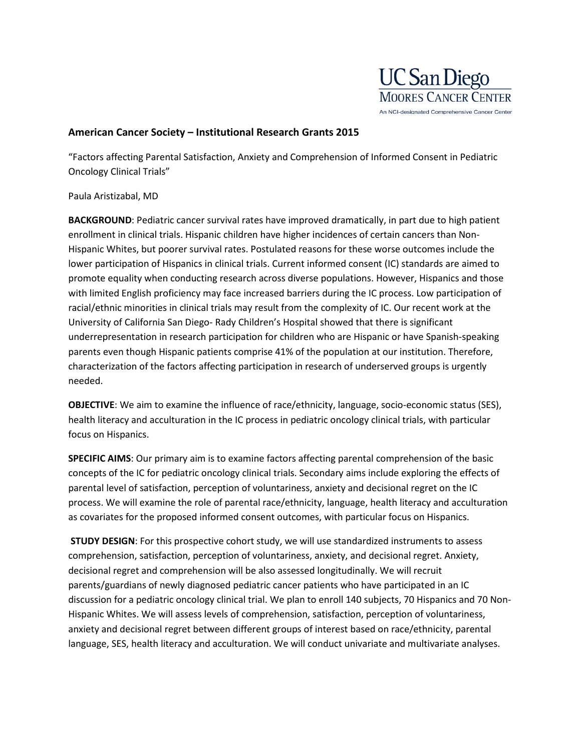

## **American Cancer Society – Institutional Research Grants 2015**

"Factors affecting Parental Satisfaction, Anxiety and Comprehension of Informed Consent in Pediatric Oncology Clinical Trials"

## Paula Aristizabal, MD

**BACKGROUND**: Pediatric cancer survival rates have improved dramatically, in part due to high patient enrollment in clinical trials. Hispanic children have higher incidences of certain cancers than Non-Hispanic Whites, but poorer survival rates. Postulated reasons for these worse outcomes include the lower participation of Hispanics in clinical trials. Current informed consent (IC) standards are aimed to promote equality when conducting research across diverse populations. However, Hispanics and those with limited English proficiency may face increased barriers during the IC process. Low participation of racial/ethnic minorities in clinical trials may result from the complexity of IC. Our recent work at the University of California San Diego- Rady Children's Hospital showed that there is significant underrepresentation in research participation for children who are Hispanic or have Spanish-speaking parents even though Hispanic patients comprise 41% of the population at our institution. Therefore, characterization of the factors affecting participation in research of underserved groups is urgently needed.

**OBJECTIVE**: We aim to examine the influence of race/ethnicity, language, socio-economic status (SES), health literacy and acculturation in the IC process in pediatric oncology clinical trials, with particular focus on Hispanics.

**SPECIFIC AIMS**: Our primary aim is to examine factors affecting parental comprehension of the basic concepts of the IC for pediatric oncology clinical trials. Secondary aims include exploring the effects of parental level of satisfaction, perception of voluntariness, anxiety and decisional regret on the IC process. We will examine the role of parental race/ethnicity, language, health literacy and acculturation as covariates for the proposed informed consent outcomes, with particular focus on Hispanics.

**STUDY DESIGN**: For this prospective cohort study, we will use standardized instruments to assess comprehension, satisfaction, perception of voluntariness, anxiety, and decisional regret. Anxiety, decisional regret and comprehension will be also assessed longitudinally. We will recruit parents/guardians of newly diagnosed pediatric cancer patients who have participated in an IC discussion for a pediatric oncology clinical trial. We plan to enroll 140 subjects, 70 Hispanics and 70 Non-Hispanic Whites. We will assess levels of comprehension, satisfaction, perception of voluntariness, anxiety and decisional regret between different groups of interest based on race/ethnicity, parental language, SES, health literacy and acculturation. We will conduct univariate and multivariate analyses.